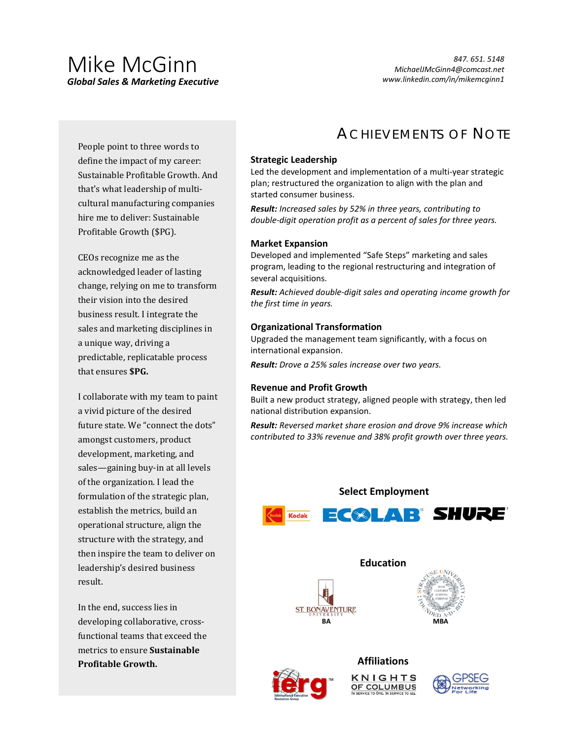# Mike McGinn *Global Sales & Marketing Executive*

*847. 651. 5148 [MichaelJMcGinn4@comcast.net](mailto:MichaelJMcGinn4@comcast.net) [www.linkedin.com/in/mikemcginn1](http://www.linkedin.com/in/mikemcginn1)*

People point to three words to define the impact of my career: Sustainable Profitable Growth. And that's what leadership of multicultural manufacturing companies hire me to deliver: Sustainable Profitable Growth (\$PG).

CEOs recognize me as the acknowledged leader of lasting change, relying on me to transform their vision into the desired business result. I integrate the sales and marketing disciplines in a unique way, driving a predictable, replicatable process that ensures **\$PG.**

I collaborate with my team to paint a vivid picture of the desired future state. We "connect the dots" amongst customers, product development, marketing, and sales—gaining buy-in at all levels of the organization. I lead the formulation of the strategic plan, establish the metrics, build an operational structure, align the structure with the strategy, and then inspire the team to deliver on leadership's desired business result.

In the end, success lies in developing collaborative, crossfunctional teams that exceed the metrics to ensure **Sustainable Profitable Growth.**

# ACHIEVEMENTS OF NOTE

## **Strategic Leadership**

Led the development and implementation of a multi-year strategic plan; restructured the organization to align with the plan and started consumer business.

*Result: Increased sales by 52% in three years, contributing to double-digit operation profit as a percent of sales for three years.*

### **Market Expansion**

Developed and implemented "Safe Steps" marketing and sales program, leading to the regional restructuring and integration of several acquisitions.

*Result: Achieved double-digit sales and operating income growth for the first time in years.*

### **Organizational Transformation**

Upgraded the management team significantly, with a focus on international expansion.

*Result: Drove a 25% sales increase over two years.*

#### **Revenue and Profit Growth**

Built a new product strategy, aligned people with strategy, then led national distribution expansion.

*Result: Reversed market share erosion and drove 9% increase which contributed to 33% revenue and 38% profit growth over three years.*

## **Select Employment**



**Education**





## **Affiliations**